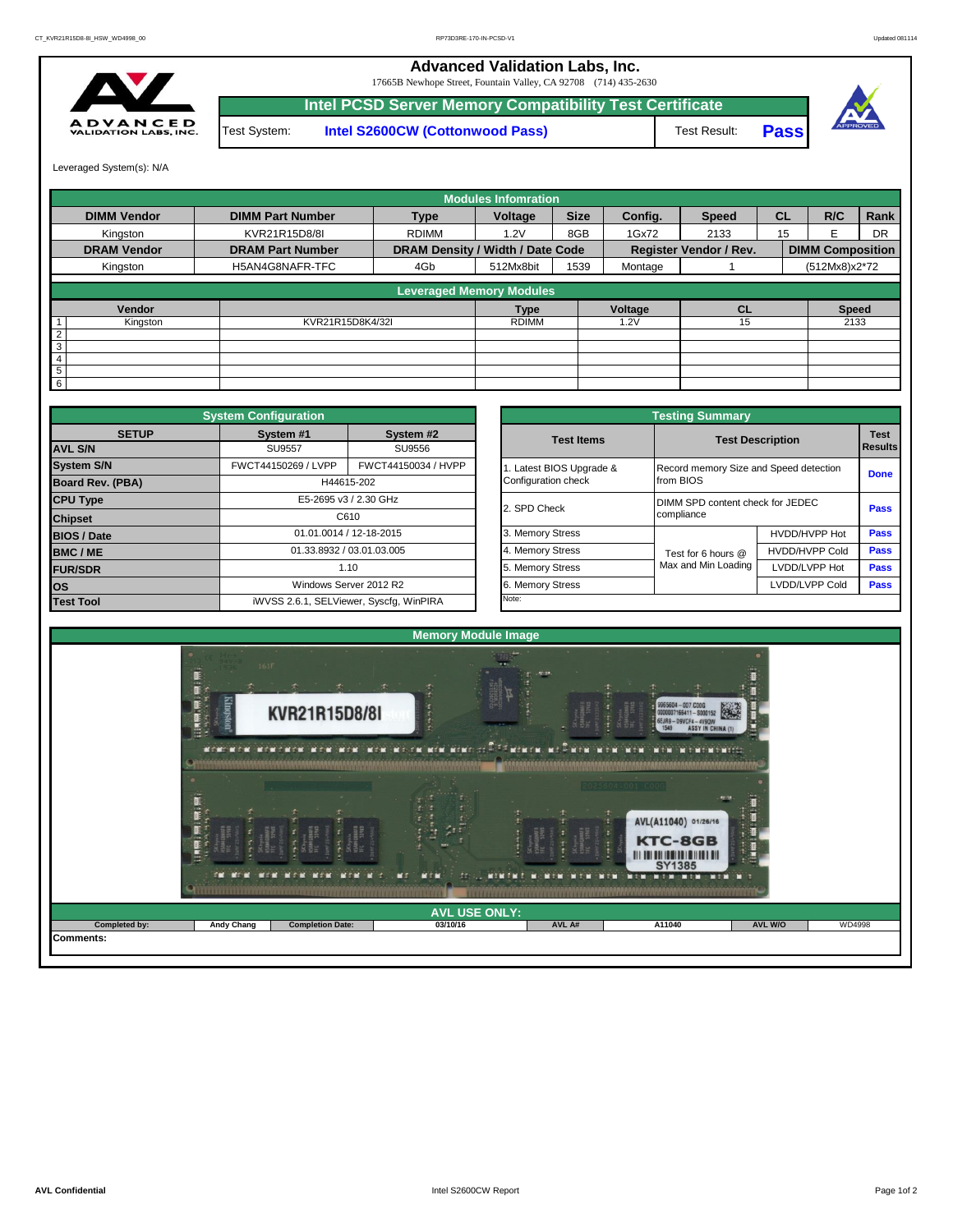## **Advanced Validation Labs, Inc.**

17665B Newhope Street, Fountain Valley, CA 92708 (714) 435-2630



Test System: **Intel S2600CW (Cottonwood Pass) Intel PCSD Server Memory Compatibility Test Certificate** Test Result: **Pass**



Leveraged System(s): N/A

|                    |                         |                                  | <b>Modules Infomration</b> |             |         |                               |           |                         |           |
|--------------------|-------------------------|----------------------------------|----------------------------|-------------|---------|-------------------------------|-----------|-------------------------|-----------|
| <b>DIMM Vendor</b> | <b>DIMM Part Number</b> | <b>Type</b>                      | Voltage                    | <b>Size</b> | Config. | <b>Speed</b>                  | <b>CL</b> | R/C                     | Rank      |
| Kingston           | KVR21R15D8/8I           | <b>RDIMM</b>                     | 1.2V                       | 8GB         | 1Gx72   | 2133                          | 15        | F                       | <b>DR</b> |
| <b>DRAM Vendor</b> | <b>DRAM Part Number</b> | DRAM Density / Width / Date Code |                            |             |         | <b>Register Vendor / Rev.</b> |           | <b>DIMM Composition</b> |           |
| Kingston           | H5AN4G8NAFR-TFC         | 4Gb                              | 512Mx8bit                  | 1539        | Montage |                               |           | (512Mx8)x2*72           |           |
|                    |                         | <b>Leveraged Memory Modules</b>  |                            |             |         | <b>CL</b><br>15               |           |                         |           |
| Vendor             |                         |                                  | <b>Type</b>                |             | Voltage |                               |           | <b>Speed</b>            |           |
| Kingston           | KVR21R15D8K4/32I        |                                  | <b>RDIMM</b>               |             | .2V     |                               |           | 2133                    |           |
| $\overline{2}$     |                         |                                  |                            |             |         |                               |           |                         |           |
| 3                  |                         |                                  |                            |             |         |                               |           |                         |           |
| 4                  |                         |                                  |                            |             |         |                               |           |                         |           |
| 5                  |                         |                                  |                            |             |         |                               |           |                         |           |
| 6                  |                         |                                  |                            |             |         |                               |           |                         |           |

|                    | <b>System Configuration</b> |                                         |  |                       | <b>Testing Summary</b>                 |                                  |             |  |
|--------------------|-----------------------------|-----------------------------------------|--|-----------------------|----------------------------------------|----------------------------------|-------------|--|
| <b>SETUP</b>       | System #1<br>System #2      |                                         |  | <b>Test Items</b>     |                                        | <b>Test Description</b>          |             |  |
| <b>AVL S/N</b>     | <b>SU9557</b>               | SU9556                                  |  |                       |                                        |                                  | Results     |  |
| <b>System S/N</b>  | FWCT44150269 / LVPP         | FWCT44150034 / HVPP                     |  | Latest BIOS Upgrade & | Record memory Size and Speed detection |                                  | <b>Done</b> |  |
| Board Rev. (PBA)   | H44615-202                  |                                         |  | Configuration check   | from BIOS                              |                                  |             |  |
| <b>CPU Type</b>    | E5-2695 v3 / 2.30 GHz       |                                         |  | 2. SPD Check          |                                        | DIMM SPD content check for JEDEC |             |  |
| <b>Chipset</b>     | C610                        |                                         |  |                       | compliance                             | Pass                             |             |  |
| <b>BIOS / Date</b> |                             | 01.01.0014 / 12-18-2015                 |  | 3. Memory Stress      |                                        | HVDD/HVPP Hot                    | <b>Pass</b> |  |
| <b>BMC/ME</b>      |                             | 01.33.8932 / 03.01.03.005               |  | 4. Memory Stress      | Test for 6 hours @                     | <b>HVDD/HVPP Cold</b>            | <b>Pass</b> |  |
| <b>FUR/SDR</b>     |                             | 1.10                                    |  | 5. Memory Stress      | Max and Min Loading                    | LVDD/LVPP Hot                    | Pass        |  |
| <b>los</b>         | Windows Server 2012 R2      |                                         |  | 6. Memory Stress      | LVDD/LVPP Cold                         | Pass                             |             |  |
| <b>Test Tool</b>   |                             | iWVSS 2.6.1, SELViewer, Syscfq, WinPIRA |  | Note:                 |                                        |                                  |             |  |

|              | <b>System Configuration</b> |                                         |                       | <b>Testing Summary</b>                 |                       |                |  |
|--------------|-----------------------------|-----------------------------------------|-----------------------|----------------------------------------|-----------------------|----------------|--|
| <b>SETUP</b> | System #1                   | System #2                               | <b>Test Items</b>     | <b>Test Description</b>                |                       | <b>Test</b>    |  |
|              | <b>SU9557</b>               | SU9556                                  |                       |                                        |                       | <b>Results</b> |  |
|              | FWCT44150269 / LVPP         | FWCT44150034 / HVPP                     | Latest BIOS Upgrade & | Record memory Size and Speed detection |                       | <b>Done</b>    |  |
| PBA)         |                             | H44615-202                              | Configuration check   | from BIOS                              |                       |                |  |
|              |                             | E5-2695 v3 / 2.30 GHz                   | 2. SPD Check          | DIMM SPD content check for JEDEC       |                       |                |  |
|              |                             | C610                                    |                       | compliance                             |                       | Pass           |  |
|              |                             | 01.01.0014 / 12-18-2015                 | 3. Memory Stress      |                                        | HVDD/HVPP Hot         | Pass           |  |
|              |                             | 01.33.8932 / 03.01.03.005               |                       | Test for 6 hours @                     | <b>HVDD/HVPP Cold</b> | Pass           |  |
|              |                             | 1.10                                    | 5. Memory Stress      | Max and Min Loading                    | LVDD/LVPP Hot         | Pass           |  |
|              |                             | Windows Server 2012 R2                  |                       |                                        | LVDD/LVPP Cold        | Pass           |  |
|              |                             | iWVSS 2.6.1, SELViewer, Syscfq, WinPIRA | Note:                 |                                        |                       |                |  |